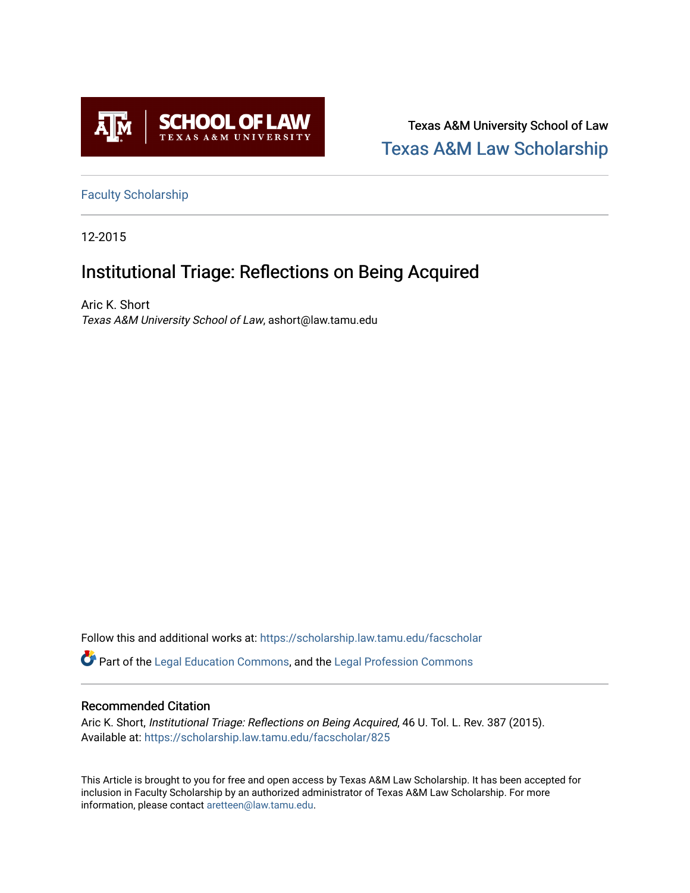

Texas A&M University School of Law [Texas A&M Law Scholarship](https://scholarship.law.tamu.edu/) 

[Faculty Scholarship](https://scholarship.law.tamu.edu/facscholar)

12-2015

# Institutional Triage: Reflections on Being Acquired

Aric K. Short Texas A&M University School of Law, ashort@law.tamu.edu

Follow this and additional works at: [https://scholarship.law.tamu.edu/facscholar](https://scholarship.law.tamu.edu/facscholar?utm_source=scholarship.law.tamu.edu%2Ffacscholar%2F825&utm_medium=PDF&utm_campaign=PDFCoverPages) 

Part of the [Legal Education Commons,](http://network.bepress.com/hgg/discipline/857?utm_source=scholarship.law.tamu.edu%2Ffacscholar%2F825&utm_medium=PDF&utm_campaign=PDFCoverPages) and the [Legal Profession Commons](http://network.bepress.com/hgg/discipline/1075?utm_source=scholarship.law.tamu.edu%2Ffacscholar%2F825&utm_medium=PDF&utm_campaign=PDFCoverPages) 

## Recommended Citation

Aric K. Short, Institutional Triage: Reflections on Being Acquired, 46 U. Tol. L. Rev. 387 (2015). Available at: [https://scholarship.law.tamu.edu/facscholar/825](https://scholarship.law.tamu.edu/facscholar/825?utm_source=scholarship.law.tamu.edu%2Ffacscholar%2F825&utm_medium=PDF&utm_campaign=PDFCoverPages)

This Article is brought to you for free and open access by Texas A&M Law Scholarship. It has been accepted for inclusion in Faculty Scholarship by an authorized administrator of Texas A&M Law Scholarship. For more information, please contact [aretteen@law.tamu.edu](mailto:aretteen@law.tamu.edu).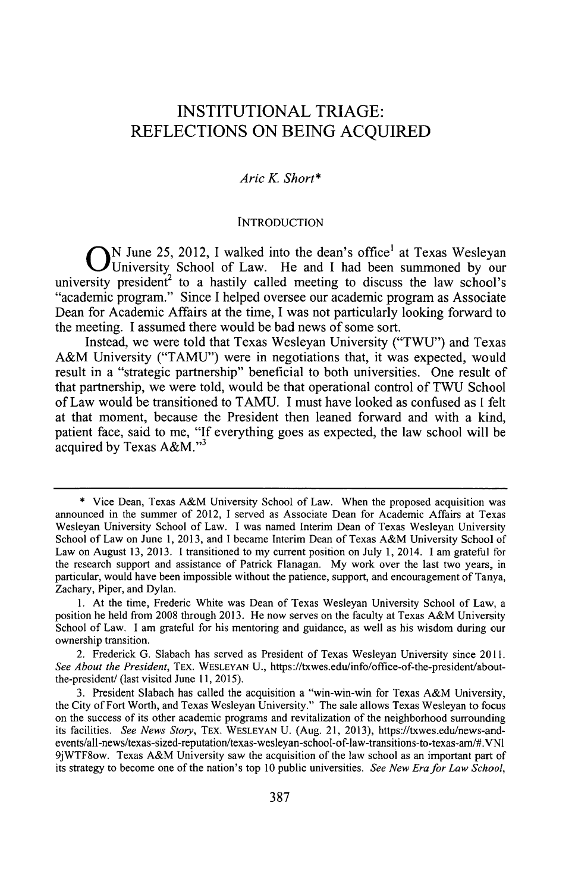# **INSTITUTIONAL** TRIAGE: **REFLECTIONS ON BEING ACQUIRED**

### *Aric K. Short\**

#### **INTRODUCTION**

**O N** June *25,* 2012, I walked into the dean's office' at Texas Wesleyan University School of Law. He and **I** had been summoned **by** our university president<sup>2</sup> to a hastily called meeting to discuss the law school's "academic program." Since **I** helped oversee our academic program as Associate Dean for Academic Affairs at the time, **I** was not particularly looking forward to the meeting. **I** assumed there would be bad news of some sort.

Instead, we were told that Texas Wesleyan University **("TWU")** and Texas A&M University **("TAMU")** were in negotiations that, it was expected, would result in a "strategic partnership" beneficial to both universities. One result of that partnership, we were told, would be that operational control of **TWU** School of Law would be transitioned to **TAMU. I** must have looked as confused as **I** felt at that moment, because the President then leaned forward and with a kind, patient face, said to me, **"If** everything goes as expected, the law school will be acquired by Texas A&M."<sup>3</sup>

**<sup>\*</sup>** Vice Dean, Texas A&M University School of Law. When the proposed acquisition was announced in the summer of 2012, I served as Associate Dean for Academic Affairs at Texas Wesleyan University School of Law. **I** was named Interim Dean of Texas Wesleyan University School of Law on June **1, 2013,** and **I** became Interim Dean of Texas A&M University School of Law on August **13, 2013.** I transitioned to my current position on July **1,** 2014. **1** am grateful for the research support and assistance of Patrick Flanagan. **My** work over the last two years, in particular, would have been impossible without the patience, support, and encouragement of Tanya, Zachary, Piper, and Dylan.

**<sup>1.</sup>** At the time, Frederic White was Dean of Texas Wesleyan University School of Law, a position he held from **2008** through **2013.** He now serves on the faculty at Texas A&M University School of Law. **I** am grateful for his mentoring and guidance, as well as his wisdom during our ownership transition.

<sup>2.</sup> Frederick **G.** Slabach has served as President of Texas Wesleyan University since **2011.** *See About the President,* TEX. **WESLEYAN U.,** https://txwes.edu/info/office-of-the-president/aboutthe-president/ (last visited June **11, 2015).**

**<sup>3.</sup>** President Slabach has called the acquisition a "win-win-win for Texas A&M University, the City of Fort Worth, and Texas Wesleyan University." The sale allows Texas Wesleyan to focus on the success of its other academic programs and revitalization of the neighborhood surrounding its facilities. *See News Story,* **TEX. WESLEYAN U.** (Aug. 21, **2013),** https://txwes.edu/news-andevents/all-news/texas-sized-reputation/texas-wesleyan-school-of-law-transitions-to-texas-am/#.VN1 9jWTF8ow. Texas A&M University saw the acquisition of the law school as an important part of its strategy to become one of the nation's top **10** public universities. *See New Era for Law School,*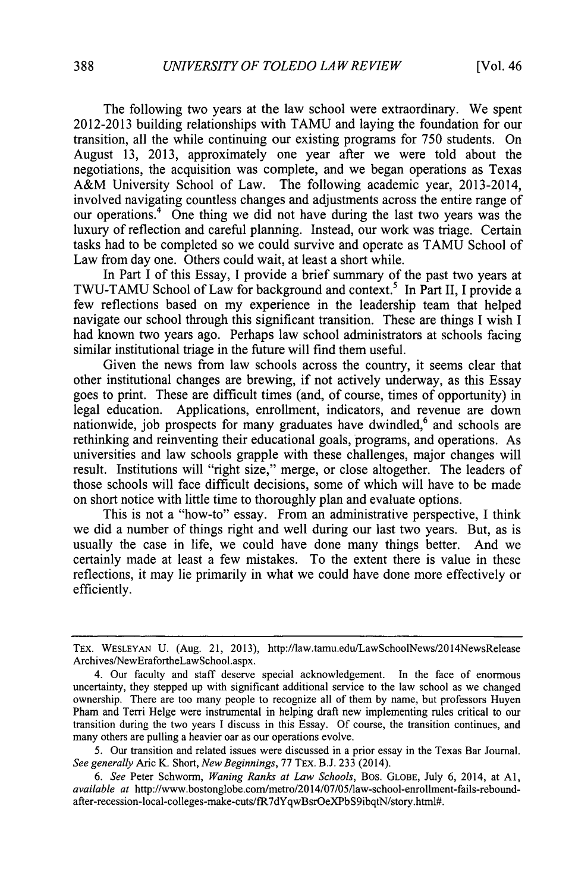The following two years at the law school were extraordinary. We spent **2012-2013** building relationships with **TAMU** and laying the foundation for our transition, all the while continuing our existing programs for *750* students. On August **13, 2013,** approximately one year after we were told about the negotiations, the acquisition was complete, and we began operations as Texas A&M University School of Law. The following academic year, 2013-2014, involved navigating countless changes and adjustments across the entire range of our operations.<sup>4</sup> One thing we did not have during the last two years was the luxury of reflection and careful planning. Instead, our work was triage. Certain tasks had to be completed so we could survive and operate as **TAMU** School of Law from day one. Others could wait, at least a short while.

In Part **I** of this Essay, **I** provide a brief summary of the past two years at TWU-TAMU School of Law for background and context.<sup>5</sup> In Part II, I provide a few reflections based on my experience in the leadership team that helped navigate our school through this significant transition. These are things **I** wish **I** had known two years ago. Perhaps law school administrators at schools facing similar institutional triage in the future will find them useful.

Given the news from law schools across the country, it seems clear that other institutional changes are brewing, if not actively underway, as this Essay goes to print. These are difficult times (and, of course, times of opportunity) in legal education. Applications, enrollment, indicators, and revenue are down nationwide, job prospects for many graduates have dwindled,<sup>6</sup> and schools are rethinking and reinventing their educational goals, programs, and operations. As universities and law schools grapple with these challenges, major changes will result. Institutions will "right size," merge, or close altogether. The leaders of those schools will face difficult decisions, some of which will have to be made on short notice with little time to thoroughly plan and evaluate options.

This is not a "how-to" essay. From an administrative perspective, **I** think we did a number of things right and well during our last two years. But, as is usually the case in life, we could have done many things better. And we certainly made at least a few mistakes. To the extent there is value in these reflections, it may lie primarily in what we could have done more effectively or efficiently.

TEX. **WESLEYAN U.** (Aug. 21, **2013),** http://law.tamu.edu/LawSchoolNews/2014NewsRelease Archives/NewErafortheLawSchool.aspx.

<sup>4.</sup> Our faculty and staff deserve special acknowledgement. In the face of enormous uncertainty, they stepped up with significant additional service to the law school as we changed ownership. There are too many people to recognize all of them **by** name, but professors Huyen Pham and Terri Helge were instrumental in helping draft new implementing rules critical to our transition during the two years **I** discuss in this Essay. **Of** course, the transition continues, and many others are pulling a heavier oar as our operations evolve.

*<sup>5.</sup>* Our transition and related issues were discussed in a prior essay in the Texas Bar Journal. *See generally* Aric K. Short, *New Beginnings,* **77** TEX. **B.J. 233** (2014).

*<sup>6.</sup> See* Peter Schworm, *Waning Ranks at Law Schools,* Bos. **GLOBE,** July *6,* 2014, at **Al,** *available at* http://www.bostonglobe.com/metro/2014/07/05/law-school-enrollment-fails-reboundafter-recession-local-colleges-make-cuts/fR7dYqwBsrOeXPbS9ibqtN/story.html#.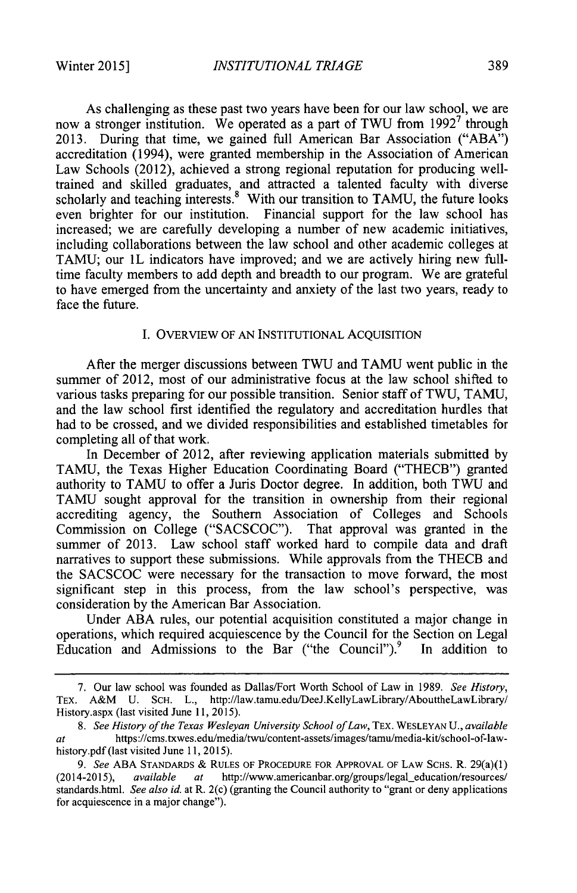As challenging as these past two years have been for our law school, we are now a stronger institution. We operated as a part of **TWU** from **19927** through **2013.** During that time, we gained full American Bar Association **("ABA")** accreditation (1994), were granted membership in the Association of American Law Schools (2012), achieved a strong regional reputation for producing welltrained and skilled graduates, and attracted a talented faculty with diverse scholarly and teaching interests. With our transition to **TAMU,** the future looks even brighter for our institution. Financial support for the law school has increased; we are carefully developing a number of new academic initiatives, including collaborations between the law school and other academic colleges at **TAMU;** our 1L indicators have improved; and we are actively hiring new **full**time faculty members to add depth and breadth to our program. We are grateful to have emerged from the uncertainty and anxiety of the last two years, ready to face the future.

#### **I.** OVERVIEW OF **AN** INSTITUTIONAL ACQUISITION

After the merger discussions between TWU and **TAMU** went public in the summer of 2012, most of our administrative focus at the law school shifted to various tasks preparing for our possible transition. Senior staff of TWU, **TAMU,** and the law school first identified the regulatory and accreditation hurdles that had to be crossed, and we divided responsibilities and established timetables for completing all of that work.

In December of 2012, after reviewing application materials submitted **by TAMU,** the Texas Higher Education Coordinating Board ("THECB") granted authority to **TAMU** to offer a Juris Doctor degree. In addition, both **TWU** and TAMU sought approval for the transition in ownership from their regional accrediting agency, the Southern Association of Colleges and Schools Commission on College **("SACSCOC").** That approval was granted in the summer of **2013.** Law school staff worked hard to compile data and draft narratives to support these submissions. While approvals from the THECB and the **SACSCOC** were necessary for the transaction to move forward, the most significant step in this process, from the law school's perspective, was consideration **by** the American Bar Association.

Under **ABA** rules, our potential acquisition constituted a major change in operations, which required acquiescence **by** the Council for the Section on Legal Education and Admissions to the Bar ("the Council"). $\frac{9}{10}$  In addition to

**<sup>7.</sup>** Our law school was founded as Dallas/Fort Worth School of Law in **1989.** *See History,* TEX. A&M **U. SCH.** L., http://Iaw.tamu.edu/DeeJ.KellyLawLibrary/AbouttheLawLibrary/ History.aspx (last visited June **11, 2015).**

*<sup>8.</sup> See History of the Texas Wesleyan University School ofLaw,* TEX. **WESLEYAN U.,** *available at* https://cms.txwes.edu/media/twu/content-assets/images/tamulmedia-kit/school-of-lawhistory.pdf (last visited June **11, 2015).**

*<sup>9.</sup> See* **ABA STANDARDS & RULES** OF **PROCEDURE** FOR APPROVAL OF LAW **SCHS.** R. 29(a)(1) (2014-2015), *available at* http://www.americanbar.org/groups/legal education/resources/ standards.html. *See also id.* at R. 2(c) (granting the Council authority to "grant or deny applications for acquiescence in a major change").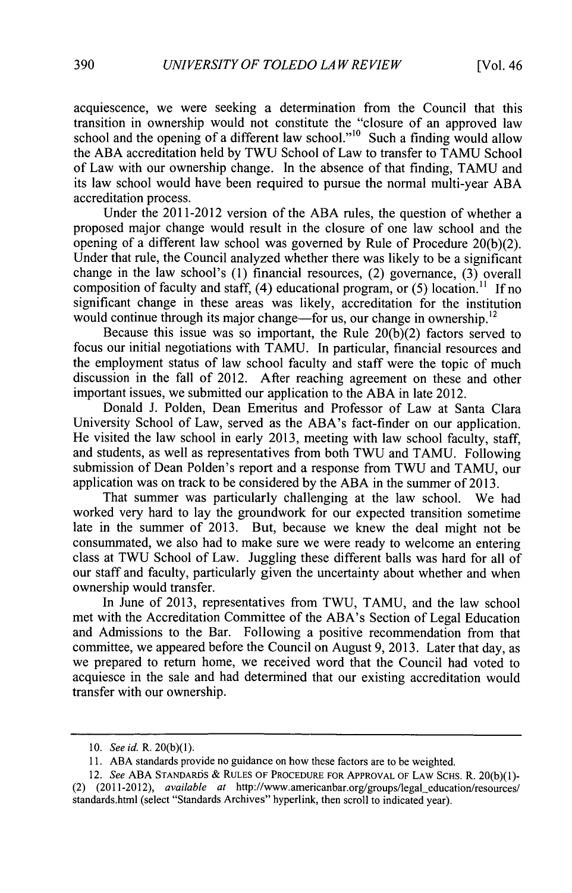acquiescence, we were seeking a determination from the Council that this transition in ownership would not constitute the "closure of an approved law school and the opening of a different law school."<sup>10</sup> Such a finding would allow the **ABA** accreditation held **by TWU** School of Law to transfer to **TAMU** School of Law with our ownership change. In the absence of that finding, **TAMU** and its law school would have been required to pursue the normal multi-year **ABA** accreditation process.

Under the 2011-2012 version of the **ABA** rules, the question of whether a proposed major change would result in the closure of one law school and the opening of a different law school was governed **by** Rule of Procedure **20(b)(2).** Under that rule, the Council analyzed whether there was likely to be a significant change in the law school's **(1)** financial resources, (2) governance, **(3)** overall composition of faculty and staff,  $(4)$  educational program, or  $(5)$  location.<sup>11</sup> If no significant change in these areas was likely, accreditation for the institution would continue through its major change—for us, our change in ownership.<sup>12</sup>

Because this issue was so important, the Rule **20(b)(2)** factors served to focus our initial negotiations with **TAMU.** In particular, financial resources and the employment status of law school faculty and staff were the topic of much discussion in the fall of 2012. After reaching agreement on these and other important issues, we submitted our application to the **ABA** in late 2012.

Donald **J.** Polden, Dean Emeritus and Professor of Law at Santa Clara University School of Law, served as the ABA's fact-finder on our application. He visited the law school in early **2013,** meeting with law school faculty, staff, and students, as well as representatives from both **TWU** and **TAMU.** Following submission of Dean Polden's report and a response from **TWU** and **TAMU,** our application was on track to be considered **by** the **ABA** in the summer of **2013.**

That summer was particularly challenging at the law school. We had worked very hard to lay the groundwork for our expected transition sometime late in the summer of **2013.** But, because we knew the deal might not be consummated, we also had to make sure we were ready to welcome an entering class at **TWU** School of Law. Juggling these different balls was hard for all of our staff and faculty, particularly given the uncertainty about whether and when ownership would transfer.

In June of **2013,** representatives from **TWU, TAMU,** and the law school met with the Accreditation Committee of the ABA's Section of Legal Education and Admissions to the Bar. Following a positive recommendation from that committee, we appeared before the Council on August **9, 2013.** Later that day, as we prepared to return home, we received word that the Council had voted to acquiesce in the sale and had determined that our existing accreditation would transfer with our ownership.

*<sup>10.</sup> See id.* R. **20(b)(1).**

**<sup>11.</sup> ABA** standards provide no guidance on how these factors are to be weighted.

*<sup>12.</sup> See* **ABA STANDAR5S** *&* **RULES OF PROCEDURE FOR APPROVAL OF LAW** SCHS. R. **20(b)(1)-** (2) (2011-2012), *available at* http://www.americanbar.org/groups/legal-education/resources/ standards.html (select "Standards Archives" hyperlink, then scroll to indicated year).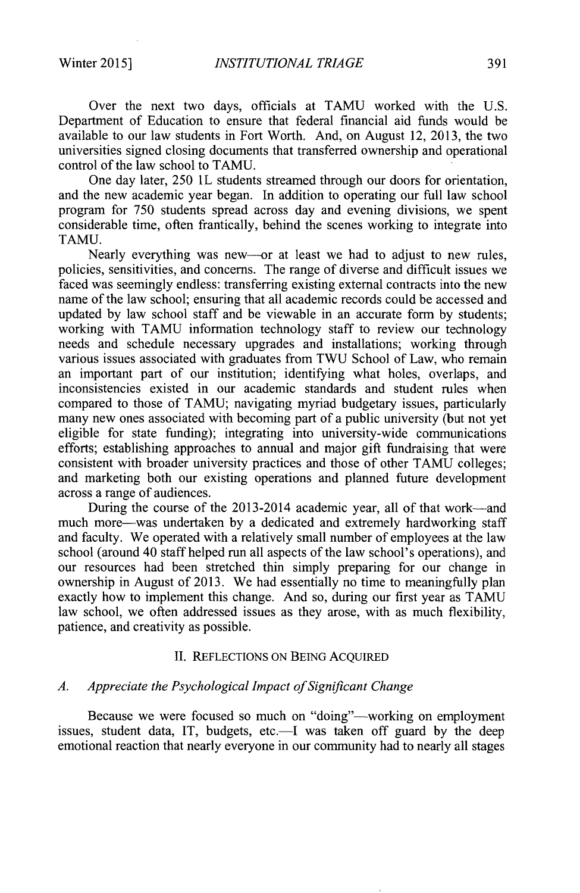Over the next two days, officials at **TAMU** worked with the **U.S.** Department of Education to ensure that federal financial aid funds would be available to our law students in Fort Worth. And, on August 12, **2013,** the two universities signed closing documents that transferred ownership and operational control of the law school to **TAMU.**

One day later, **250** 1L students streamed through our doors for orientation, and the new academic year began. In addition to operating our **full** law school program for **750** students spread across day and evening divisions, we spent considerable time, often frantically, behind the scenes working to integrate into **TAMU.**

Nearly everything was new—or at least we had to adjust to new rules, policies, sensitivities, and concerns. The range of diverse and difficult issues we faced was seemingly endless: transferring existing external contracts into the new name of the law school; ensuring that all academic records could be accessed and updated **by** law school staff and be viewable in an accurate form **by** students; working with **TAMU** information technology staff to review our technology needs and schedule necessary upgrades and installations; working through various issues associated with graduates from **TWU** School of Law, who remain an important part of our institution; identifying what holes, overlaps, and inconsistencies existed in our academic standards and student rules when compared to those of **TAMU;** navigating myriad budgetary issues, particularly many new ones associated with becoming part of a public university (but not yet eligible for state funding); integrating into university-wide communications efforts; establishing approaches to annual and major gift fundraising that were consistent with broader university practices and those of other **TAMU** colleges; and marketing both our existing operations and planned future development across a range of audiences.

During the course of the 2013-2014 academic year, all of that work—and much more-was undertaken **by** a dedicated and extremely hardworking staff and faculty. We operated with a relatively small number of employees at the law school (around 40 staff helped run all aspects of the law school's operations), and our resources had been stretched thin simply preparing for our change in ownership in August of **2013.** We had essentially no time to meaningfully plan exactly how to implement this change. And so, during our first year as **TAMU** law school, we often addressed issues as they arose, with as much flexibility, patience, and creativity as possible.

#### **II. REFLECTIONS ON BEING** ACQUIRED

#### *A. Appreciate the Psychological Impact of Significant Change*

Because we were focused so much on "doing"—working on employment issues, student data, IT, budgets, etc.—I was taken off guard by the deep emotional reaction that nearly everyone in our community had to nearly all stages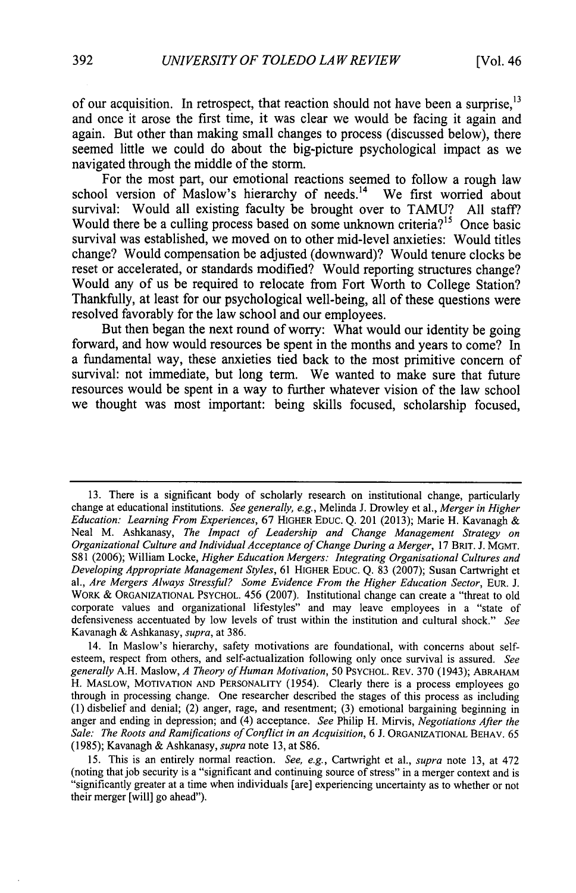of our acquisition. In retrospect, that reaction should not have been a surprise,<sup>13</sup> and once it arose the first time, it was clear we would be facing it again and again. But other than making small changes to process (discussed below), there seemed little we could do about the big-picture psychological impact as we navigated through the middle of the storm.

For the most part, our emotional reactions seemed to follow a rough law school version of Maslow's hierarchy of needs.<sup>14</sup> We first worried about survival: Would all existing faculty be brought over to **TAMU? All** staff? Would there be a culling process based on some unknown criteria?<sup>15</sup> Once basic survival was established, we moved on to other mid-level anxieties: Would titles change? Would compensation be adjusted (downward)? Would tenure clocks be reset or accelerated, or standards modified? Would reporting structures change? Would any of us be required to relocate from Fort Worth to College Station? Thankfully, at least for our psychological well-being, all of these questions were resolved favorably for the law school and our employees.

But then began the next round of worry: What would our identity be going forward, and how would resources be spent in the months and years to come? In a fundamental way, these anxieties tied back to the most primitive concern of survival: not immediate, but long term. We wanted to make sure that future resources would be spent in a way to further whatever vision of the law school we thought was most important: being skills focused, scholarship focused,

**13.** There is a significant body of scholarly research on institutional change, particularly change at educational institutions. *See generally, e.g.,* Melinda **J.** Drowley et al., *Merger in Higher Education: Learning From Experiences,* **67** HIGHER **EDUC.** *Q.* 201 **(2013);** Marie H. Kavanagh Neal M. Ashkanasy, *The Impact of Leadership and Change Management Strategy on Organizational Culture and Individual Acceptance of Change During a Merger,* **<sup>17</sup>**BRIT. **J.** MGMT. **S81 (2006);** William Locke, *Higher Education Mergers: Integrating Organisational Cultures and Developing Appropriate Management Styles,* **61** HIGHER **EDUC.** *Q.* **83 (2007);** Susan Cartwright et al., Are Mergers Always Stressful? Some Evidence From the Higher Education Sector, EUR. J. WORK **& ORGANIZATIONAL** PSYCHOL. *456* **(2007).** Institutional change can create a "threat to old corporate values and organizational lifestyles" and may leave employees in a "state of defensiveness accentuated **by** low levels of trust within the institution and cultural shock." *See* Kavanagh **&** Ashkanasy, *supra,* at **386.**

14. In Maslow's hierarchy, safety motivations are foundational, with concerns about selfesteem, respect from others, and self-actualization following only once survival is assured. *See generally* **A.H.** Maslow, *A Theory ofHuman Motivation, 50* **PSYCHOL. REv. 370** (1943); **ABRAHAM** H. MASLOW, **MOTIVATION AND** PERSONALITY *(1954).* Clearly there is a process employees go through in processing change. One researcher described the stages of this process as including **(1)** disbelief and denial; (2) anger, rage, and resentment; **(3)** emotional bargaining beginning in anger and ending in depression; and (4) acceptance. *See* Philip H. Mirvis, *Negotiations After the Sale: The Roots and Ramifications of Conflict in an Acquisition,* **6 J. ORGANIZATIONAL** BEHAV. *65 (1985);* Kavanagh **&** Ashkanasy, *supra* note **13,** at **S86.**

*15.* This is an entirely normal reaction. *See, e.g.,* Cartwright et al., *supra* note **13,** at 472 (noting that job security is a "significant and continuing source of stress" in a merger context and is "significantly greater at a time when individuals [are] experiencing uncertainty as to whether or not their merger [will] go ahead").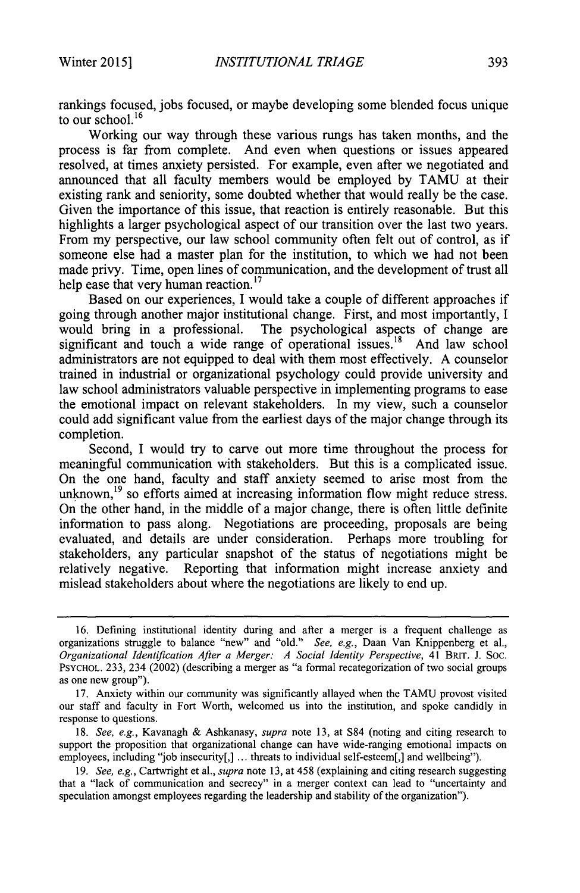rankings focused, jobs focused, or maybe developing some blended focus unique to our school.<sup>16</sup>

Working our way through these various rungs has taken months, and the process is far from complete. And even when questions or issues appeared resolved, at times anxiety persisted. For example, even after we negotiated and announced that all faculty members would be employed **by TAMU** at their existing rank and seniority, some doubted whether that would really be the case. Given the importance of this issue, that reaction is entirely reasonable. But this highlights a larger psychological aspect of our transition over the last two years. From my perspective, our law school community often felt out of control, as if someone else had a master plan for the institution, to which we had not been made privy. Time, open lines of communication, and the development of trust all help ease that very human reaction.<sup>17</sup>

Based on our experiences, **I** would take a couple of different approaches if going through another major institutional change. First, and most importantly, I would bring in a professional. The psychological aspects of change are significant and touch a wide range of operational issues.<sup>18</sup> And law school administrators are not equipped to deal with them most effectively. **A** counselor trained in industrial or organizational psychology could provide university and law school administrators valuable perspective in implementing programs to ease the emotional impact on relevant stakeholders. In my view, such a counselor could add significant value from the earliest days of the major change through its completion.

Second, **I** would try to carve out more time throughout the process for meaningful communication with stakeholders. But this is a complicated issue. On the one hand, faculty and staff anxiety seemed to arise most from the unknown,<sup>19</sup> so efforts aimed at increasing information flow might reduce stress. On the other hand, in the middle of a major change, there is often little definite information to pass along. Negotiations are proceeding, proposals are being evaluated, and details are under consideration. Perhaps more troubling for stakeholders, any particular snapshot of the status of negotiations might be relatively negative. Reporting that information might increase anxiety and mislead stakeholders about where the negotiations are **likely** to end up.

**<sup>16.</sup>** Defining institutional identity during and after a merger is a frequent challenge as organizations struggle to balance "new" and "old." *See, e.g.,* Daan Van Knippenberg et al., *Organizational Identification After a Merger: A Social Identity Perspective,* 41 BRIT. **J. Soc. PSYCHOL. 233,** 234 (2002) (describing a merger as "a formal recategorization of two social groups as one new group").

**<sup>17.</sup>** Anxiety within our community was significantly allayed when the **TAMU** provost visited our staff and faculty in Fort Worth, welcomed us into the institution, and spoke candidly in response to questions.

*<sup>18.</sup> See, e.g.,* Kavanagh **&** Ashkanasy, *supra* note **13,** at **S84** (noting and citing research to support the proposition that organizational change can have wide-ranging emotional impacts on employees, including **"job** insecurity[,] **...** threats to individual self-esteem[,] and wellbeing").

*<sup>19.</sup> See, e.g.,* Cartwright et al., *supra* note **13,** at 458 (explaining and citing research suggesting that a "lack of communication and secrecy" in a merger context can lead to "uncertainty and speculation amongst employees regarding the leadership and stability of the organization").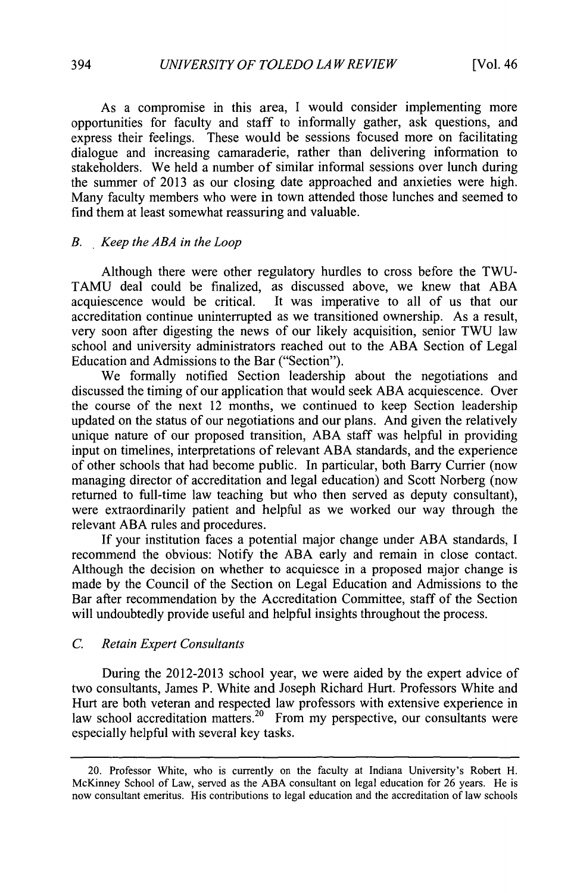As a compromise in this area, **I** would consider implementing more opportunities for faculty and staff to informally gather, ask questions, and express their feelings. These would be sessions focused more on facilitating dialogue and increasing camaraderie, rather than delivering information to stakeholders. We held a number of similar informal sessions over lunch during the summer of **2013** as our closing date approached and anxieties were high. Many faculty members who were in town attended those lunches and seemed to find them at least somewhat reassuring and valuable.

#### *B. , Keep the ABA in the Loop*

Although there were other regulatory hurdles to cross before the **TWU-TAMU** deal could be finalized, as discussed above, we knew that **ABA** acquiescence would be critical. It was imperative to all of us that our accreditation continue uninterrupted as we transitioned ownership. As a result, very soon after digesting the news of our likely acquisition, senior **TWU** law school and university administrators reached out to the **ABA** Section of Legal Education and Admissions to the Bar ("Section").

We formally notified Section leadership about the negotiations and discussed the timing of our application that would seek **ABA** acquiescence. Over the course of the next 12 months, we continued to keep Section leadership updated on the status of our negotiations and our plans. And given the relatively unique nature of our proposed transition, **ABA** staff was helpful in providing input on timelines, interpretations of relevant **ABA** standards, and the experience of other schools that had become public. In particular, both Barry Currier (now managing director of accreditation and legal education) and Scott Norberg (now returned to full-time law teaching but who then served as deputy consultant), were extraordinarily patient and helpful as we worked our way through the relevant **ABA** rules and procedures.

**If** your institution faces a potential major change under **ABA** standards, **I** recommend the obvious: Notify the **ABA** early and remain in close contact. Although the decision on whether to acquiesce in a proposed major change is made **by** the Council of the Section on Legal Education and Admissions to the Bar after recommendation **by** the Accreditation Committee, staff of the Section will undoubtedly provide useful and helpful insights throughout the process.

#### *C. Retain Expert Consultants*

During the **2012-2013** school year, we were aided **by** the expert advice of two consultants, James P. White and Joseph Richard Hurt. Professors White and Hurt are both veteran and respected law professors with extensive experience in law school accreditation matters.<sup>20</sup> From my perspective, our consultants were especially helpful with several key tasks.

<sup>20.</sup> Professor White, who is currently on the faculty at Indiana University's Robert H. McKinney School of Law, served as the **ABA** consultant on legal education for **26** years. He is now consultant emeritus. His contributions to legal education and the accreditation of law schools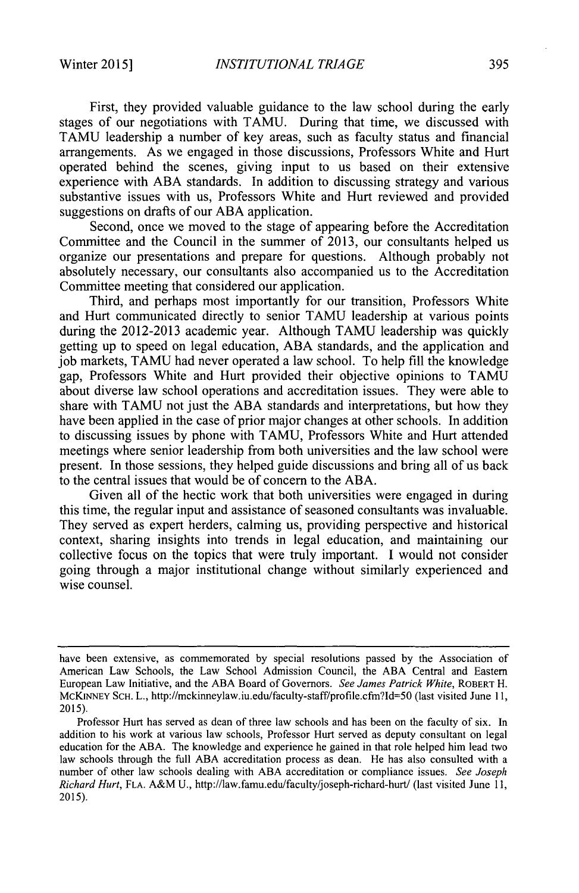First, they provided valuable guidance to the law school during the early stages of our negotiations with TAMU. During that time, we discussed with **TAMU** leadership a number of key areas, such as faculty status and financial arrangements. As we engaged in those discussions, Professors White and Hurt operated behind the scenes, giving input to us based on their extensive experience with **ABA** standards. In addition to discussing strategy and various substantive issues with us, Professors White and Hurt reviewed and provided suggestions on drafts of our **ABA** application.

Second, once we moved to the stage of appearing before the Accreditation Committee and the Council in the summer of **2013,** our consultants helped us organize our presentations and prepare for questions. Although probably not absolutely necessary, our consultants also accompanied us to the Accreditation Committee meeting that considered our application.

Third, and perhaps most importantly for our transition, Professors White and Hurt communicated directly to senior **TAMU** leadership at various points during the **2012-2013** academic year. Although **TAMU** leadership was quickly getting up to speed on legal education, **ABA** standards, and the application and **job** markets, **TAMU** had never operated a law school. To help fill the knowledge gap, Professors White and Hurt provided their objective opinions to **TAMU** about diverse law school operations and accreditation issues. They were able to share with **TAMU** not just the **ABA** standards and interpretations, but how they have been applied in the case of prior major changes at other schools. In addition to discussing issues **by** phone with **TAMU,** Professors White and Hurt attended meetings where senior leadership from both universities and the law school were present. In those sessions, they helped guide discussions and bring all of us back to the central issues that would be of concern to the **ABA.**

Given all of the hectic work that both universities were engaged in during this time, the regular input and assistance of seasoned consultants was invaluable. They served as expert herders, calming us, providing perspective and historical context, sharing insights into trends in legal education, and maintaining our collective focus on the topics that were truly important. **I** would not consider going through a major institutional change without similarly experienced and wise counsel.

have been extensive, as commemorated **by** special resolutions passed **by** the Association **of** American Law Schools, the Law School Admission Council, the **ABA** Central and Eastern European Law Initiative, and the **ABA** Board of Governors. *See James Patrick White,* **ROBERT** H. McKINNEY **SCH.** L., http://mckinneylaw.iu.edu/faculty-staff/profile.cfmi?Id=50 (last visited June **11, 2015).**

Professor Hurt has served as dean of three law schools and has been on the faculty of six. In addition to his work at various law schools, Professor Hurt served as deputy consultant on legal education for the **ABA.** The knowledge and experience he gained in that role helped him lead two law schools through the full **ABA** accreditation process as dean. He has also consulted with a number of other law schools dealing with **ABA** accreditation or compliance issues. *See Joseph Richard Hurt,* **FLA.** A&M **U.,** http://law.famu.edu/faculty/joseph-richard-hurt/ (last visited June **11, 2015).**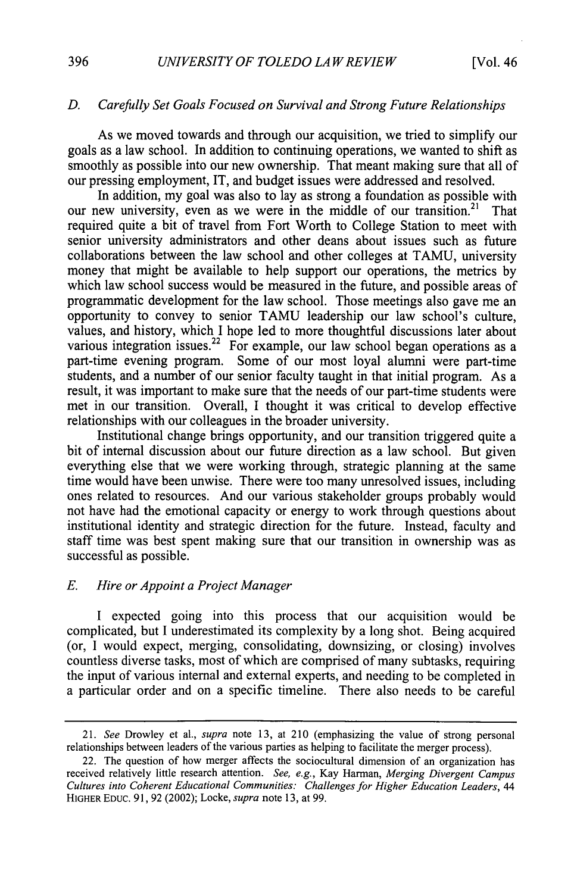#### *D. Carefully Set Goals Focused on Survival and Strong Future Relationships*

As we moved towards and through our acquisition, we tried to simplify our goals as a law school. In addition to continuing operations, we wanted to shift as smoothly as possible into our new ownership. That meant making sure that all of our pressing employment, IT, and budget issues were addressed and resolved.

In addition, my goal was also to lay as strong a foundation as possible with our new university, even as we were in the middle of our transition.<sup>21</sup> That required quite a bit of travel from Fort Worth to College Station to meet with senior university administrators and other deans about issues such as future collaborations between the law school and other colleges at **TAMU,** university money that might be available to help support our operations, the metrics **by** which law school success would be measured in the future, and possible areas of programmatic development for the law school. Those meetings also gave me an opportunity to convey to senior **TAMU** leadership our law school's culture, values, and history, which **I** hope led to more thoughtful discussions later about various integration issues.<sup>22</sup> For example, our law school began operations as a part-time evening program. Some of our most loyal alumni were part-time students, and a number of our senior faculty taught in that initial program. As a result, it was important to make sure that the needs of our part-time students were met in our transition. Overall, **I** thought it was critical to develop effective relationships with our colleagues in the broader university.

Institutional change brings opportunity, and our transition triggered quite a bit of internal discussion about our future direction as a law school. But given everything else that we were working through, strategic planning at the same time would have been unwise. There were too many unresolved issues, including ones related to resources. And our various stakeholder groups probably would not have had the emotional capacity or energy to work through questions about institutional identity and strategic direction for the future. Instead, faculty and staff time was best spent making sure that our transition in ownership was as successful as possible.

#### *E. Hire or Appoint a Project Manager*

**I** expected going into this process that our acquisition would be complicated, but **I** underestimated its complexity **by** a long shot. Being acquired (or, **I** would expect, merging, consolidating, downsizing, or closing) involves countless diverse tasks, most of which are comprised of many subtasks, requiring the input of various internal and external experts, and needing to be completed in a particular order and on a specific timeline. There also needs to be careful

*<sup>21.</sup> See* Drowley et al., *supra* note **13,** at 210 (emphasizing the value of strong personal relationships between leaders of the various parties as helping to facilitate the merger process).

<sup>22.</sup> The question of how merger affects the sociocultural dimension of an organization has received relatively little research attention. *See, e.g.,* Kay Harman, *Merging Divergent Campus Cultures into Coherent Educational Communities: Challenges for Higher Education Leaders, 44* **HIGHER EDUC. 91, 92** (2002); Locke, *supra* note **13,** at **99.**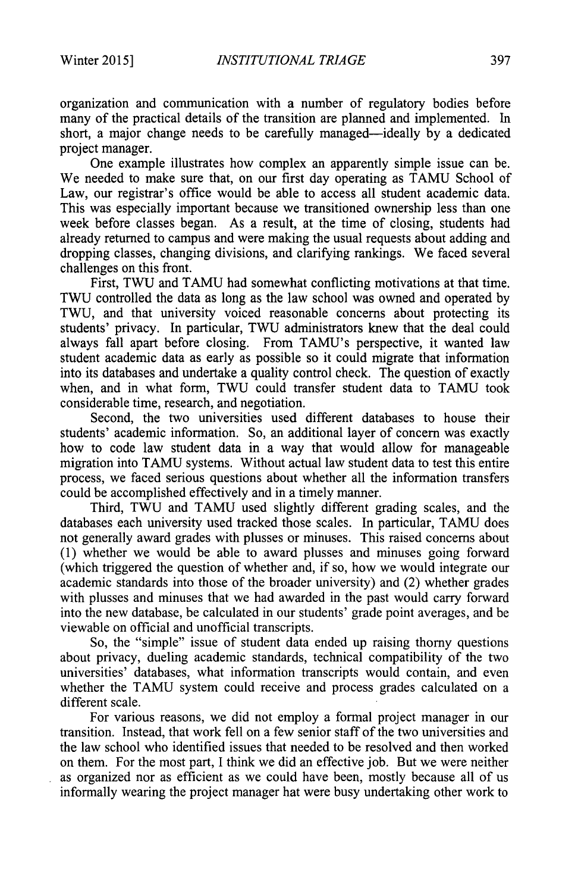organization and communication with a number of regulatory bodies before many of the practical details of the transition are planned and implemented. In short, a major change needs to be carefully managed-ideally **by** a dedicated project manager.

One example illustrates how complex an apparently simple issue can be. We needed to make sure that, on our first day operating as **TAMU** School of Law, our registrar's office would be able to access all student academic data. This was especially important because we transitioned ownership less than one week before classes began. As a result, at the time of closing, students had already returned to campus and were making the usual requests about adding and dropping classes, changing divisions, and clarifying rankings. We faced several challenges on this front.

First, **TWU** and **TAMU** had somewhat conflicting motivations at that time. **TWU** controlled the data as long as the law school was owned and operated **by TWU,** and that university voiced reasonable concerns about protecting its students' privacy. In particular, TWU administrators knew that the deal could always fall apart before closing. From TAMU's perspective, it wanted law student academic data as early as possible so it could migrate that information into its databases and undertake a quality control check. The question of exactly when, and in what form, **TWU** could transfer student data to **TAMU** took considerable time, research, and negotiation.

Second, the two universities used different databases to house their students' academic information. So, an additional layer of concern was exactly how to code law student data in a way that would allow for manageable migration into **TAMU** systems. Without actual law student data to test this entire process, we faced serious questions about whether all the information transfers could be accomplished effectively and in a timely manner.

Third, TWU and **TAMU** used slightly different grading scales, and the databases each university used tracked those scales. In particular, **TAMU** does not generally award grades with plusses or minuses. This raised concerns about **(1)** whether we would be able to award plusses and minuses going forward (which triggered the question of whether and, if so, how we would integrate our academic standards into those of the broader university) and (2) whether grades with plusses and minuses that we had awarded in the past would carry forward into the new database, be calculated in our students' grade point averages, and be viewable on official and unofficial transcripts.

So, the "simple" issue of student data ended up raising thorny questions about privacy, dueling academic standards, technical compatibility of the two universities' databases, what information transcripts would contain, and even whether the **TAMU** system could receive and process grades calculated on a different scale.

For various reasons, we did not employ a formal project manager in our transition. Instead, that work fell on a few senior staff of the two universities and the law school who identified issues that needed to **be** resolved and then worked on them. For the most part, I think we did an effective **job.** But we were neither as organized nor as efficient as we could have been, mostly because all of us informally wearing the project manager hat were busy undertaking other work to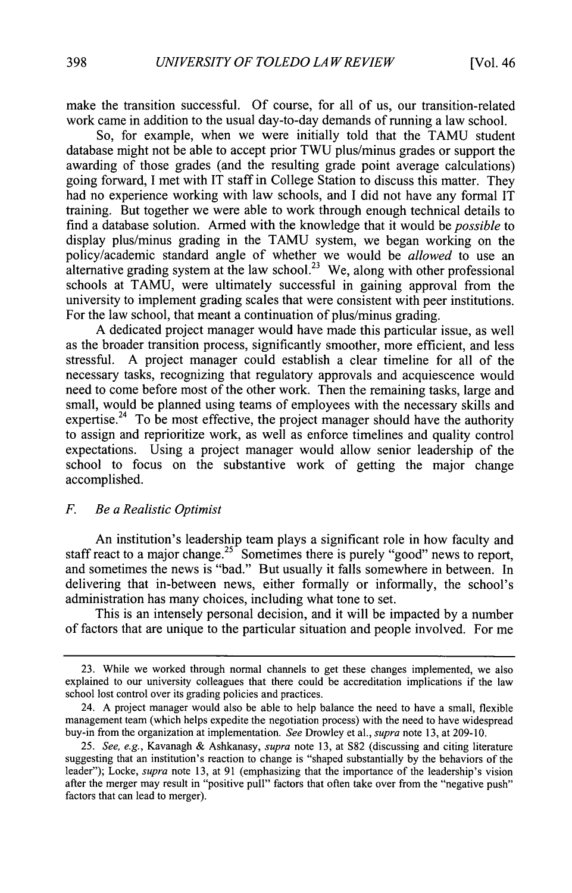make the transition successful. **Of** course, for all of us, our transition-related work came in addition to the usual day-to-day demands of running a law school.

So, for example, when we were initially told that the **TAMU** student database might not be able to accept prior **TWU** plus/minus grades or support the awarding of those grades (and the resulting grade point average calculations) going forward, **I** met with IT staff in College Station to discuss this matter. They had no experience working with law schools, and **I** did not have any formal IT training. But together we were able to work through enough technical details to find a database solution. Armed with the knowledge that it would be *possible to* display plus/minus grading in the **TAMU** system, we began working on the policy/academic standard angle of whether we would be *allowed* to use an alternative grading system at the law school.<sup>23</sup> We, along with other professional schools at **TAMU,** were ultimately successful in gaining approval from the university to implement grading scales that were consistent with peer institutions. For the law school, that meant a continuation of plus/minus grading.

**A** dedicated project manager would have made this particular issue, as well as the broader transition process, significantly smoother, more efficient, and less stressful. **A** project manager could establish a clear timeline for all of the necessary tasks, recognizing that regulatory approvals and acquiescence would need to come before most of the other work. Then the remaining tasks, large and small, would be planned using teams of employees with the necessary skills and expertise.<sup>24</sup> To be most effective, the project manager should have the authority to assign and reprioritize work, as well as enforce timelines and quality control expectations. Using a project manager would allow senior leadership of the school to focus on the substantive work of getting the major change accomplished.

#### *F. Be a Realistic Optimist*

An institution's leadership team plays a significant role in how faculty and staff react to a major change.<sup>25</sup> Sometimes there is purely "good" news to report, and sometimes the news is "bad." But usually it falls somewhere in between. In delivering that in-between news, either formally or informally, the school's administration has many choices, including what tone to set.

This is an intensely personal decision, and it will be impacted **by** a number of factors that are unique to the particular situation and people involved. For me

**<sup>23.</sup>** While we worked through normal channels to get these changes implemented, we also explained to our university colleagues that there could be accreditation implications if the law school lost control over its grading policies and practices.

<sup>24.</sup> **A** project manager would also be able to help balance the need to have a small, flexible management team (which helps expedite the negotiation process) with the need to have widespread buy-in from the organization at implementation. *See* Drowley et al., *supra* note **13,** at **209-10.**

*<sup>25.</sup> See, e.g.,* Kavanagh **&** Ashkanasy, *supra* note **13,** at **S82** (discussing and citing literature suggesting that an institution's reaction to change is "shaped substantially **by** the behaviors of the leader"); Locke, *supra* note **13,** at **91** (emphasizing that the importance of the leadership's vision after the merger may result in "positive pull" factors that often take over from the "negative push" factors that can lead to merger).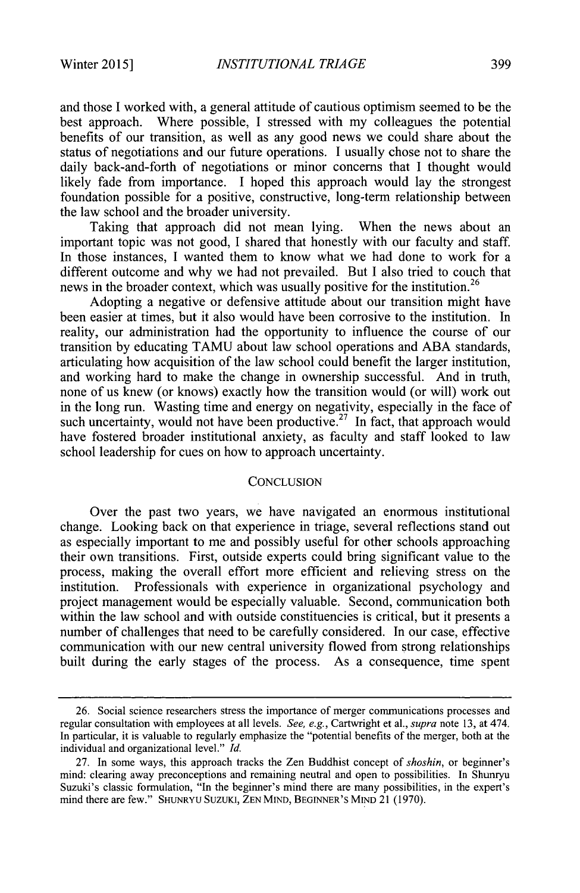and those **I** worked with, a general attitude of cautious optimism seemed to be the best approach. Where possible, **I** stressed with my colleagues the potential benefits of our transition, as well as any good news we could share about the status of negotiations and our future operations. **I** usually chose not to share the daily back-and-forth of negotiations or minor concerns that **I** thought would likely fade from importance. **I** hoped this approach would lay the strongest foundation possible for a positive, constructive, long-term relationship between the law school and the broader university.

Taking that approach did not mean lying. When the news about an important topic was not good, **I** shared that honestly with our faculty and staff. In those instances, I wanted them to know what we had done to work for a different outcome and why we had not prevailed. But **I** also tried to couch that news in the broader context, which was usually positive for the institution.<sup>26</sup>

Adopting a negative or defensive attitude about our transition might have been easier at times, but it also would have been corrosive to the institution. In reality, our administration had the opportunity to influence the course of our transition **by** educating **TAMU** about law school operations and **ABA** standards, articulating how acquisition of the law school could benefit the larger institution, and working hard to make the change in ownership successful. And in truth, none of us knew (or knows) exactly how the transition would (or will) work out in the long run. Wasting time and energy on negativity, especially in the face of such uncertainty, would not have been productive.<sup>27</sup> In fact, that approach would have fostered broader institutional anxiety, as faculty and staff looked to law school leadership for cues on how to approach uncertainty.

#### **CONCLUSION**

Over the past two years, we have navigated an enormous institutional change. Looking back on that experience in triage, several reflections stand out as especially important to me and possibly useful for other schools approaching their own transitions. First, outside experts could bring significant value to the process, making the overall effort more efficient and relieving stress on the institution. Professionals with experience in organizational psychology and project management would be especially valuable. Second, communication both within the law school and with outside constituencies is critical, but it presents a number of challenges that need to be carefully considered. In our case, effective communication with our new central university flowed from strong relationships built during the early stages of the process. As a consequence, time spent

**<sup>26.</sup>** Social science researchers stress the importance of merger communications processes and regular consultation with employees at all levels. *See, e.g.,* Cartwright et al., *supra* note **13,** at 474. In particular, it is valuable to regularly emphasize the "potential benefits of the merger, both at the individual and organizational level." *Id.*

**<sup>27.</sup>** In some ways, this approach tracks the Zen Buddhist concept of *shoshin,* or beginner's mind: clearing away preconceptions and remaining neutral and open to possibilities. In Shunryu Suzuki's classic formulation, "In the beginner's mind there are many possibilities, in the expert's mind there are few." **SHUNRYU SuzuKI, ZEN MIND, BEGINNER'S MIND** 21 **(1970).**